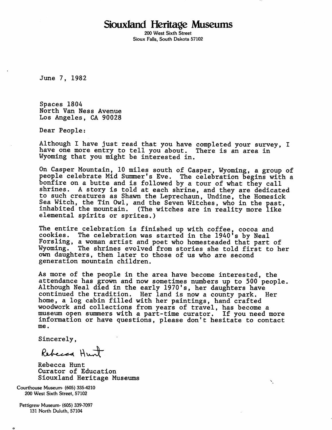## Siouxland Heritage Museums

200 West Sixth Street Sioux Falls, South Dakota 57102

June 7, 1982

Spaces 1804 North Van Ness Avenue Los Angeles, CA 90028

Dear People;

Although I have just read that you have completed your survey, I have one more entry to tell you about. There is an area in Wyoming that you might be interested in.

On Casper Mountain, 10 miles south of Casper, Wyoming, a group of people celebrate Mid Summer's Eve. The celebration begins with a bonfire on a butte and is followed by a tour of what they call shrines. A story is told at each shrine, and they are dedicated to such creatures as Shaxm the Leprechaun, Undine, the Homesick Sea Witch, the Tin Owl, and the Seven Witches, who in the past, inhabited the mountain. (The witches are in reality more like e lemental spirits or sprites.)

The entire celebration is finished up with coffee, cocoa and cookies. The celebration was started in the 1940's by Neal Forsling, a woman artist and poet who homesteaded that part of Wyoming. The shrines evolved from stories she told first to her own daughters, then later to those of us who are second generation mountain children.

As more of the people in the area have become interested, the attendance has grown and now sometimes numbers up to 500 people. Although Neal died in the early 1970's, her daughters have<br>continued the tradition. Her land is now a county park. Her continued the tradition. Her land is now a county park. home, a log cabin filled with her paintings, hand crafted woodwork and collections from years of travel, has become a museum open summers with a part-time curator. If you need more information or have questions, please don't hesitate to contact me.

Ň.

Sincerely,

Rebecca Hunt

Rebecca Hunt Curator of Education Siouxland Heritage Museums

Courthouse Museum- (605) 335-4210 200 West Sixth Street, 57102

Pettigrew Museum- (605) 339-7097 131 North Duluth, 57104

O